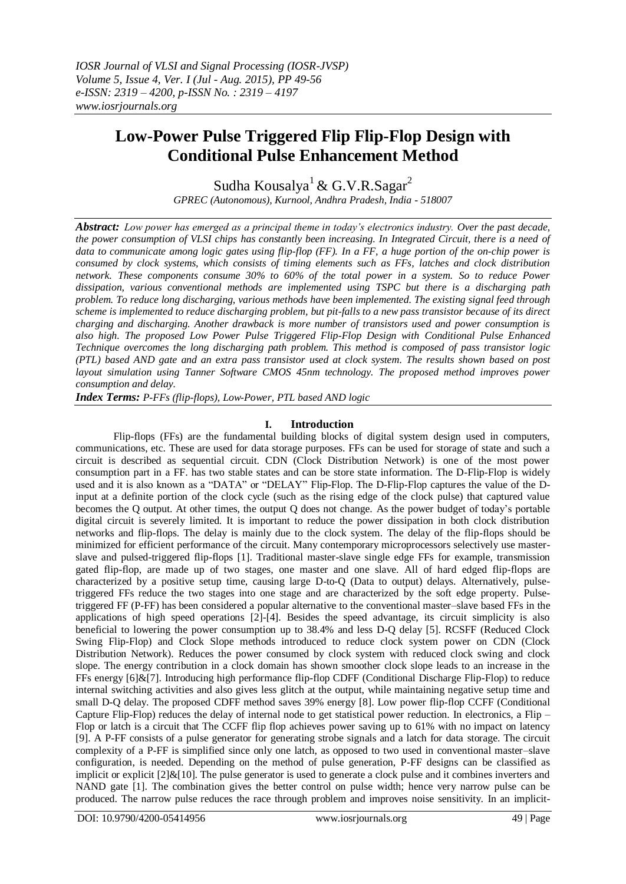# **Low-Power Pulse Triggered Flip Flip-Flop Design with Conditional Pulse Enhancement Method**

Sudha Kousalya<sup>1</sup> & G.V.R.Sagar<sup>2</sup>

*GPREC (Autonomous), Kurnool, Andhra Pradesh, India - 518007*

*Abstract: Low power has emerged as a principal theme in today's electronics industry. Over the past decade, the power consumption of VLSI chips has constantly been increasing. In Integrated Circuit, there is a need of data to communicate among logic gates using flip-flop (FF). In a FF, a huge portion of the on-chip power is consumed by clock systems, which consists of timing elements such as FFs, latches and clock distribution network. These components consume 30% to 60% of the total power in a system. So to reduce Power dissipation, various conventional methods are implemented using TSPC but there is a discharging path problem. To reduce long discharging, various methods have been implemented. The existing signal feed through scheme is implemented to reduce discharging problem, but pit-falls to a new pass transistor because of its direct charging and discharging. Another drawback is more number of transistors used and power consumption is also high. The proposed Low Power Pulse Triggered Flip-Flop Design with Conditional Pulse Enhanced Technique overcomes the long discharging path problem. This method is composed of pass transistor logic (PTL) based AND gate and an extra pass transistor used at clock system. The results shown based on post layout simulation using Tanner Software CMOS 45nm technology. The proposed method improves power consumption and delay.*

*Index Terms: P-FFs (flip-flops), Low-Power, PTL based AND logic*

### **I. Introduction**

Flip-flops (FFs) are the fundamental building blocks of digital system design used in computers, communications, etc. These are used for data storage purposes. FFs can be used for storage of state and such a circuit is described as sequential circuit. CDN (Clock Distribution Network) is one of the most power consumption part in a FF. has two stable states and can be store state information. The D-Flip-Flop is widely used and it is also known as a "DATA" or "DELAY" Flip-Flop. The D-Flip-Flop captures the value of the Dinput at a definite portion of the clock cycle (such as the rising edge of the clock pulse) that captured value becomes the Q output. At other times, the output Q does not change. As the power budget of today"s portable digital circuit is severely limited. It is important to reduce the power dissipation in both clock distribution networks and flip-flops. The delay is mainly due to the clock system. The delay of the flip-flops should be minimized for efficient performance of the circuit. Many contemporary microprocessors selectively use masterslave and pulsed-triggered flip-flops [1]. Traditional master-slave single edge FFs for example, transmission gated flip-flop, are made up of two stages, one master and one slave. All of hard edged flip-flops are characterized by a positive setup time, causing large D-to-Q (Data to output) delays. Alternatively, pulsetriggered FFs reduce the two stages into one stage and are characterized by the soft edge property. Pulsetriggered FF (P-FF) has been considered a popular alternative to the conventional master–slave based FFs in the applications of high speed operations [2]-[4]. Besides the speed advantage, its circuit simplicity is also beneficial to lowering the power consumption up to 38.4% and less D-Q delay [5]. RCSFF (Reduced Clock Swing Flip-Flop) and Clock Slope methods introduced to reduce clock system power on CDN (Clock Distribution Network). Reduces the power consumed by clock system with reduced clock swing and clock slope. The energy contribution in a clock domain has shown smoother clock slope leads to an increase in the FFs energy [6]&[7]. Introducing high performance flip-flop CDFF (Conditional Discharge Flip-Flop) to reduce internal switching activities and also gives less glitch at the output, while maintaining negative setup time and small D-Q delay. The proposed CDFF method saves 39% energy [8]. Low power flip-flop CCFF (Conditional Capture Flip-Flop) reduces the delay of internal node to get statistical power reduction. In electronics, a Flip – Flop or latch is a circuit that The CCFF flip flop achieves power saving up to 61% with no impact on latency [9]. A P-FF consists of a pulse generator for generating strobe signals and a latch for data storage. The circuit complexity of a P-FF is simplified since only one latch, as opposed to two used in conventional master–slave configuration, is needed. Depending on the method of pulse generation, P-FF designs can be classified as implicit or explicit [2]&[10]. The pulse generator is used to generate a clock pulse and it combines inverters and NAND gate [1]. The combination gives the better control on pulse width; hence very narrow pulse can be produced. The narrow pulse reduces the race through problem and improves noise sensitivity. In an implicit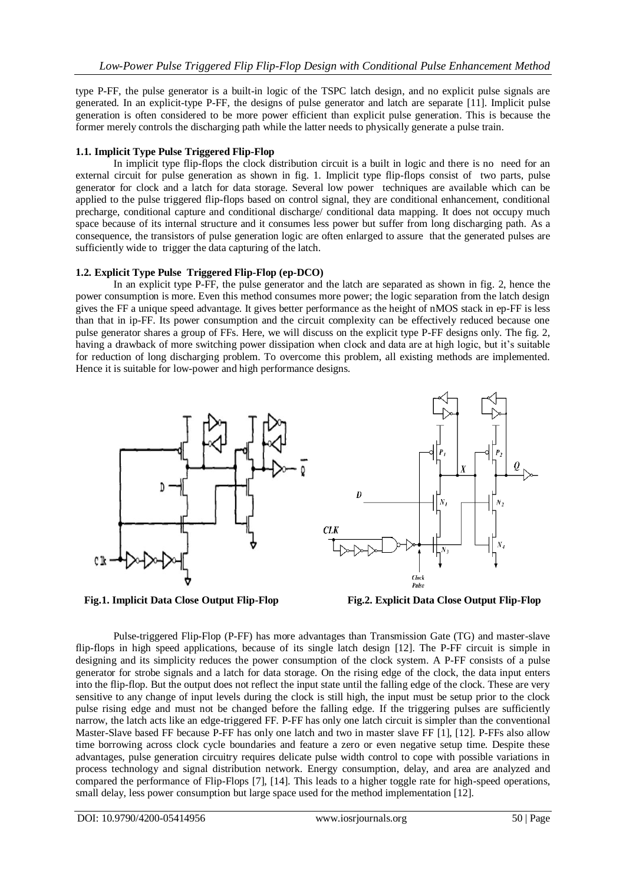type P-FF, the pulse generator is a built-in logic of the TSPC latch design, and no explicit pulse signals are generated. In an explicit-type P-FF, the designs of pulse generator and latch are separate [11]. Implicit pulse generation is often considered to be more power efficient than explicit pulse generation. This is because the former merely controls the discharging path while the latter needs to physically generate a pulse train.

#### **1.1. Implicit Type Pulse Triggered Flip-Flop**

In implicit type flip-flops the clock distribution circuit is a built in logic and there is no need for an external circuit for pulse generation as shown in fig. 1. Implicit type flip-flops consist of two parts, pulse generator for clock and a latch for data storage. Several low power techniques are available which can be applied to the pulse triggered flip-flops based on control signal, they are conditional enhancement, conditional precharge, conditional capture and conditional discharge/ conditional data mapping. It does not occupy much space because of its internal structure and it consumes less power but suffer from long discharging path. As a consequence, the transistors of pulse generation logic are often enlarged to assure that the generated pulses are sufficiently wide to trigger the data capturing of the latch.

### **1.2. Explicit Type Pulse Triggered Flip-Flop (ep-DCO)**

In an explicit type P-FF, the pulse generator and the latch are separated as shown in fig. 2, hence the power consumption is more. Even this method consumes more power; the logic separation from the latch design gives the FF a unique speed advantage. It gives better performance as the height of nMOS stack in ep-FF is less than that in ip-FF. Its power consumption and the circuit complexity can be effectively reduced because one pulse generator shares a group of FFs. Here, we will discuss on the explicit type P-FF designs only. The fig. 2, having a drawback of more switching power dissipation when clock and data are at high logic, but it's suitable for reduction of long discharging problem. To overcome this problem, all existing methods are implemented. Hence it is suitable for low-power and high performance designs.





Clock Pulse

**Fig.1. Implicit Data Close Output Flip-Flop Fig.2. Explicit Data Close Output Flip-Flop**

Pulse-triggered Flip-Flop (P-FF) has more advantages than Transmission Gate (TG) and master-slave flip-flops in high speed applications, because of its single latch design [12]. The P-FF circuit is simple in designing and its simplicity reduces the power consumption of the clock system. A P-FF consists of a pulse generator for strobe signals and a latch for data storage. On the rising edge of the clock, the data input enters into the flip-flop. But the output does not reflect the input state until the falling edge of the clock. These are very sensitive to any change of input levels during the clock is still high, the input must be setup prior to the clock pulse rising edge and must not be changed before the falling edge. If the triggering pulses are sufficiently narrow, the latch acts like an edge-triggered FF. P-FF has only one latch circuit is simpler than the conventional Master-Slave based FF because P-FF has only one latch and two in master slave FF [1], [12]. P-FFs also allow time borrowing across clock cycle boundaries and feature a zero or even negative setup time. Despite these advantages, pulse generation circuitry requires delicate pulse width control to cope with possible variations in process technology and signal distribution network. Energy consumption, delay, and area are analyzed and compared the performance of Flip-Flops [7], [14]. This leads to a higher toggle rate for high-speed operations, small delay, less power consumption but large space used for the method implementation [12].

 $\overline{D}$ 

 $CLK$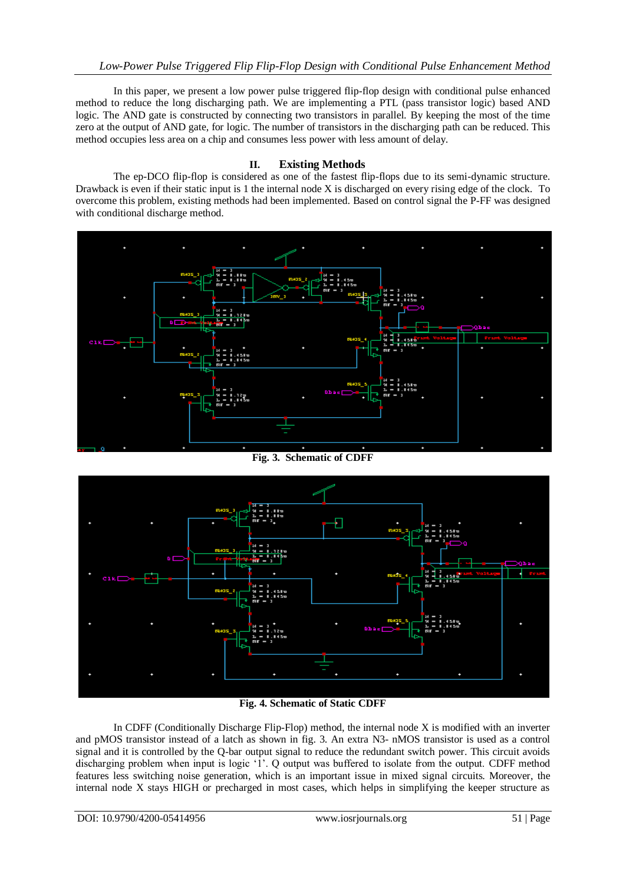In this paper, we present a low power pulse triggered flip-flop design with conditional pulse enhanced method to reduce the long discharging path. We are implementing a PTL (pass transistor logic) based AND logic. The AND gate is constructed by connecting two transistors in parallel. By keeping the most of the time zero at the output of AND gate, for logic. The number of transistors in the discharging path can be reduced. This method occupies less area on a chip and consumes less power with less amount of delay.

#### **II. Existing Methods**

The ep-DCO flip-flop is considered as one of the fastest flip-flops due to its semi-dynamic structure. Drawback is even if their static input is 1 the internal node  $X$  is discharged on every rising edge of the clock. To overcome this problem, existing methods had been implemented. Based on control signal the P-FF was designed with conditional discharge method.



**Fig. 3. Schematic of CDFF** 



**Fig. 4. Schematic of Static CDFF**

In CDFF (Conditionally Discharge Flip-Flop) method, the internal node X is modified with an inverter and pMOS transistor instead of a latch as shown in fig. 3. An extra N3- nMOS transistor is used as a control signal and it is controlled by the Q-bar output signal to reduce the redundant switch power. This circuit avoids discharging problem when input is logic "1". Q output was buffered to isolate from the output. CDFF method features less switching noise generation, which is an important issue in mixed signal circuits. Moreover, the internal node X stays HIGH or precharged in most cases, which helps in simplifying the keeper structure as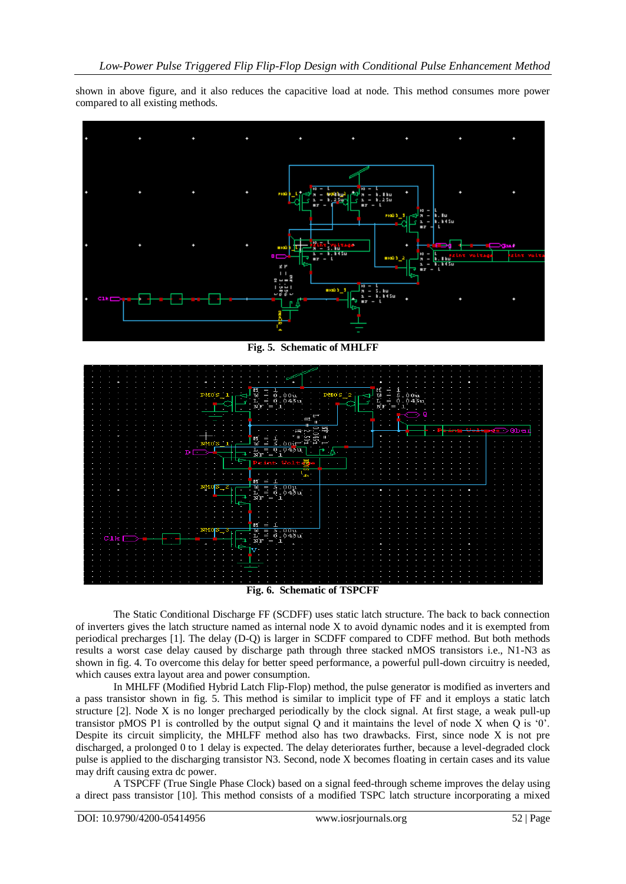shown in above figure, and it also reduces the capacitive load at node. This method consumes more power compared to all existing methods.



**Fig. 5. Schematic of MHLFF**



The Static Conditional Discharge FF (SCDFF) uses static latch structure. The back to back connection of inverters gives the latch structure named as internal node X to avoid dynamic nodes and it is exempted from periodical precharges [1]. The delay (D-Q) is larger in SCDFF compared to CDFF method. But both methods results a worst case delay caused by discharge path through three stacked nMOS transistors i.e., N1-N3 as shown in fig. 4. To overcome this delay for better speed performance, a powerful pull-down circuitry is needed, which causes extra layout area and power consumption.

In MHLFF (Modified Hybrid Latch Flip-Flop) method, the pulse generator is modified as inverters and a pass transistor shown in fig. 5. This method is similar to implicit type of FF and it employs a static latch structure [2]. Node X is no longer precharged periodically by the clock signal. At first stage, a weak pull-up transistor pMOS P1 is controlled by the output signal Q and it maintains the level of node X when Q is "0". Despite its circuit simplicity, the MHLFF method also has two drawbacks. First, since node X is not pre discharged, a prolonged 0 to 1 delay is expected. The delay deteriorates further, because a level-degraded clock pulse is applied to the discharging transistor N3. Second, node X becomes floating in certain cases and its value may drift causing extra dc power.

A TSPCFF (True Single Phase Clock) based on a signal feed-through scheme improves the delay using a direct pass transistor [10]. This method consists of a modified TSPC latch structure incorporating a mixed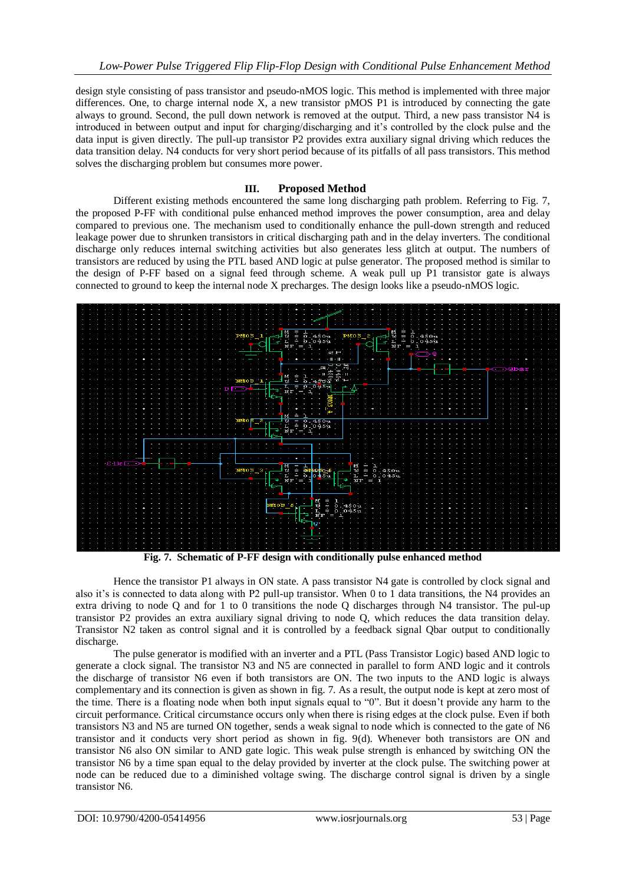design style consisting of pass transistor and pseudo-nMOS logic. This method is implemented with three major differences. One, to charge internal node X, a new transistor pMOS P1 is introduced by connecting the gate always to ground. Second, the pull down network is removed at the output. Third, a new pass transistor N4 is introduced in between output and input for charging/discharging and it"s controlled by the clock pulse and the data input is given directly. The pull-up transistor P2 provides extra auxiliary signal driving which reduces the data transition delay. N4 conducts for very short period because of its pitfalls of all pass transistors. This method solves the discharging problem but consumes more power.

#### **III. Proposed Method**

Different existing methods encountered the same long discharging path problem. Referring to Fig. 7, the proposed P-FF with conditional pulse enhanced method improves the power consumption, area and delay compared to previous one. The mechanism used to conditionally enhance the pull-down strength and reduced leakage power due to shrunken transistors in critical discharging path and in the delay inverters. The conditional discharge only reduces internal switching activities but also generates less glitch at output. The numbers of transistors are reduced by using the PTL based AND logic at pulse generator. The proposed method is similar to the design of P-FF based on a signal feed through scheme. A weak pull up P1 transistor gate is always connected to ground to keep the internal node X precharges. The design looks like a pseudo-nMOS logic.



**Fig. 7. Schematic of P-FF design with conditionally pulse enhanced method**

Hence the transistor P1 always in ON state. A pass transistor N4 gate is controlled by clock signal and also it"s is connected to data along with P2 pull-up transistor. When 0 to 1 data transitions, the N4 provides an extra driving to node Q and for 1 to 0 transitions the node Q discharges through N4 transistor. The pul-up transistor P2 provides an extra auxiliary signal driving to node Q, which reduces the data transition delay. Transistor N2 taken as control signal and it is controlled by a feedback signal Qbar output to conditionally discharge.

The pulse generator is modified with an inverter and a PTL (Pass Transistor Logic) based AND logic to generate a clock signal. The transistor N3 and N5 are connected in parallel to form AND logic and it controls the discharge of transistor N6 even if both transistors are ON. The two inputs to the AND logic is always complementary and its connection is given as shown in fig. 7. As a result, the output node is kept at zero most of the time. There is a floating node when both input signals equal to "0". But it doesn"t provide any harm to the circuit performance. Critical circumstance occurs only when there is rising edges at the clock pulse. Even if both transistors N3 and N5 are turned ON together, sends a weak signal to node which is connected to the gate of N6 transistor and it conducts very short period as shown in fig. 9(d). Whenever both transistors are ON and transistor N6 also ON similar to AND gate logic. This weak pulse strength is enhanced by switching ON the transistor N6 by a time span equal to the delay provided by inverter at the clock pulse. The switching power at node can be reduced due to a diminished voltage swing. The discharge control signal is driven by a single transistor N6.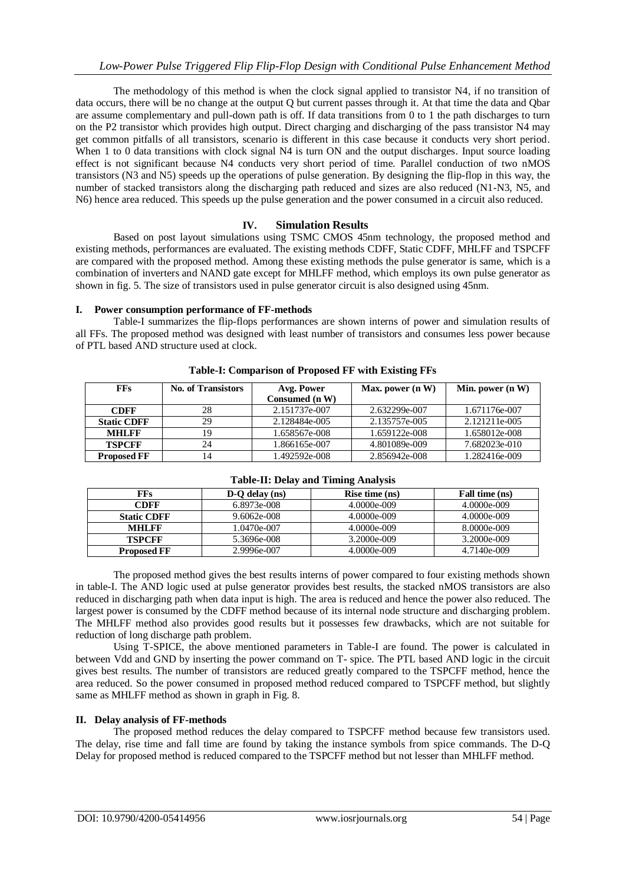The methodology of this method is when the clock signal applied to transistor N4, if no transition of data occurs, there will be no change at the output Q but current passes through it. At that time the data and Qbar are assume complementary and pull-down path is off. If data transitions from 0 to 1 the path discharges to turn on the P2 transistor which provides high output. Direct charging and discharging of the pass transistor N4 may get common pitfalls of all transistors, scenario is different in this case because it conducts very short period. When 1 to 0 data transitions with clock signal N4 is turn ON and the output discharges. Input source loading effect is not significant because N4 conducts very short period of time. Parallel conduction of two nMOS transistors (N3 and N5) speeds up the operations of pulse generation. By designing the flip-flop in this way, the number of stacked transistors along the discharging path reduced and sizes are also reduced (N1-N3, N5, and N6) hence area reduced. This speeds up the pulse generation and the power consumed in a circuit also reduced.

#### **IV. Simulation Results**

Based on post layout simulations using TSMC CMOS 45nm technology, the proposed method and existing methods, performances are evaluated. The existing methods CDFF, Static CDFF, MHLFF and TSPCFF are compared with the proposed method. Among these existing methods the pulse generator is same, which is a combination of inverters and NAND gate except for MHLFF method, which employs its own pulse generator as shown in fig. 5. The size of transistors used in pulse generator circuit is also designed using 45nm.

**I. Power consumption performance of FF-methods**

Table-I summarizes the flip-flops performances are shown interns of power and simulation results of all FFs. The proposed method was designed with least number of transistors and consumes less power because of PTL based AND structure used at clock.

| <b>FFs</b>         | <b>No. of Transistors</b> | Avg. Power     | Max. power $(n, W)$ | Min. power $(n W)$ |
|--------------------|---------------------------|----------------|---------------------|--------------------|
|                    |                           | Consumed (n W) |                     |                    |
| <b>CDFF</b>        | 28                        | 2.151737e-007  | 2.632299e-007       | 1.671176e-007      |
| <b>Static CDFF</b> | 29                        | 2.128484e-005  | 2.135757e-005       | 2.121211e-005      |
| <b>MHLFF</b>       | 19                        | 1.658567e-008  | 1.659122e-008       | 1.658012e-008      |
| <b>TSPCFF</b>      | 24                        | 1.866165e-007  | 4.801089e-009       | 7.682023e-010      |
| <b>Proposed FF</b> | l4                        | 1.492592e-008  | 2.856942e-008       | 1.282416e-009      |

#### **Table-I: Comparison of Proposed FF with Existing FFs**

| FFs.               | $D-O$ delay (ns) | Rise time (ns) | Fall time (ns) |
|--------------------|------------------|----------------|----------------|
| <b>CDFF</b>        | 6.8973e-008      | 4.0000e-009    | 4.0000e-009    |
| <b>Static CDFF</b> | 9.6062e-008      | 4.0000e-009    | $4.0000e-009$  |
| <b>MHLFF</b>       | 1.0470e-007      | 4.0000e-009    | 8.0000e-009    |
| <b>TSPCFF</b>      | 5.3696e-008      | 3.2000e-009    | 3.2000e-009    |
| <b>Proposed FF</b> | 2.9996e-007      | 4.0000e-009    | 4.7140e-009    |

## **Table-II: Delay and Timing Analysis**

The proposed method gives the best results interns of power compared to four existing methods shown in table-I. The AND logic used at pulse generator provides best results, the stacked nMOS transistors are also reduced in discharging path when data input is high. The area is reduced and hence the power also reduced. The largest power is consumed by the CDFF method because of its internal node structure and discharging problem. The MHLFF method also provides good results but it possesses few drawbacks, which are not suitable for reduction of long discharge path problem.

Using T-SPICE, the above mentioned parameters in Table-I are found. The power is calculated in between Vdd and GND by inserting the power command on T- spice. The PTL based AND logic in the circuit gives best results. The number of transistors are reduced greatly compared to the TSPCFF method, hence the area reduced. So the power consumed in proposed method reduced compared to TSPCFF method, but slightly same as MHLFF method as shown in graph in Fig. 8.

#### **II. Delay analysis of FF-methods**

The proposed method reduces the delay compared to TSPCFF method because few transistors used. The delay, rise time and fall time are found by taking the instance symbols from spice commands. The D-Q Delay for proposed method is reduced compared to the TSPCFF method but not lesser than MHLFF method.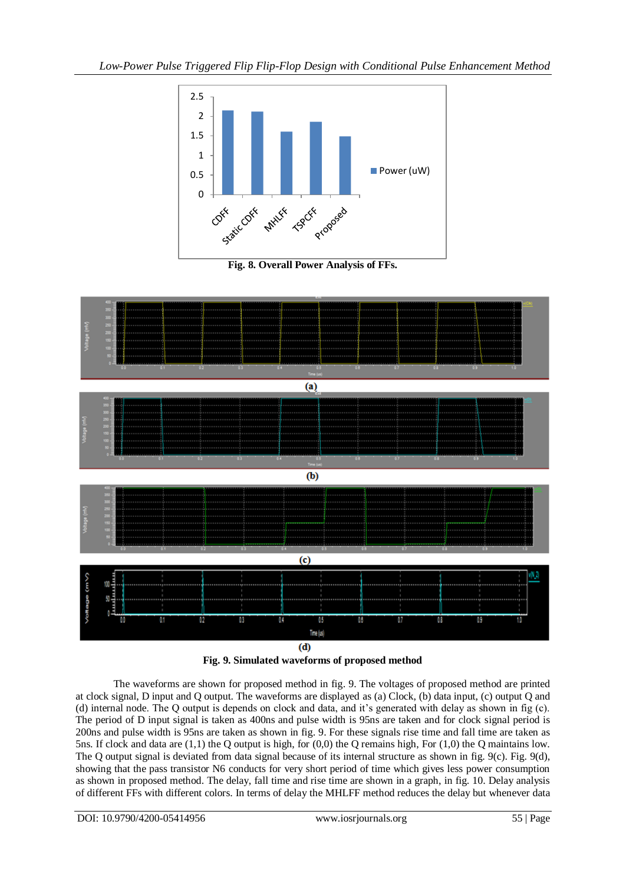

**Fig. 8. Overall Power Analysis of FFs.**



**Fig. 9. Simulated waveforms of proposed method**

The waveforms are shown for proposed method in fig. 9. The voltages of proposed method are printed at clock signal, D input and Q output. The waveforms are displayed as (a) Clock, (b) data input, (c) output Q and (d) internal node. The Q output is depends on clock and data, and it"s generated with delay as shown in fig (c). The period of D input signal is taken as 400ns and pulse width is 95ns are taken and for clock signal period is 200ns and pulse width is 95ns are taken as shown in fig. 9. For these signals rise time and fall time are taken as 5ns. If clock and data are (1,1) the Q output is high, for (0,0) the Q remains high, For (1,0) the Q maintains low. The Q output signal is deviated from data signal because of its internal structure as shown in fig. 9(c). Fig. 9(d), showing that the pass transistor N6 conducts for very short period of time which gives less power consumption as shown in proposed method. The delay, fall time and rise time are shown in a graph, in fig. 10. Delay analysis of different FFs with different colors. In terms of delay the MHLFF method reduces the delay but whenever data